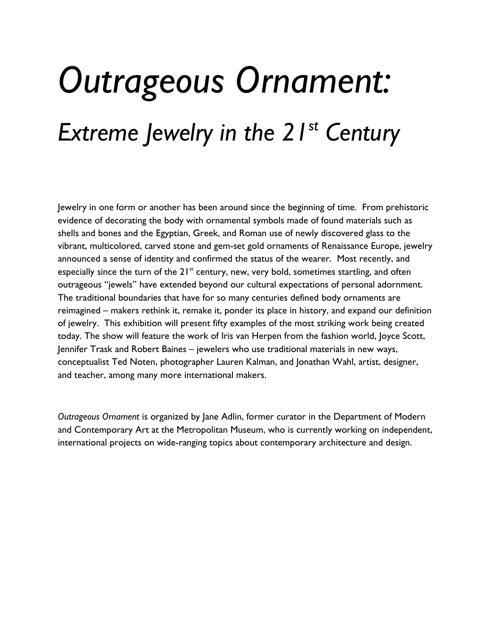## *Outrageous Ornament: Extreme Jewelry in the 21st Century*

Jewelry in one form or another has been around since the beginning of time. From prehistoric evidence of decorating the body with ornamental symbols made of found materials such as shells and bones and the Egyptian, Greek, and Roman use of newly discovered glass to the vibrant, multicolored, carved stone and gem-set gold ornaments of Renaissance Europe, jewelry announced a sense of identity and confirmed the status of the wearer. Most recently, and especially since the turn of the  $21^{st}$  century, new, very bold, sometimes startling, and often outrageous "jewels" have extended beyond our cultural expectations of personal adornment. The traditional boundaries that have for so many centuries defined body ornaments are reimagined – makers rethink it, remake it, ponder its place in history, and expand our definition of jewelry. This exhibition will present fifty examples of the most striking work being created today. The show will feature the work of Iris van Herpen from the fashion world, Joyce Scott, Jennifer Trask and Robert Baines – jewelers who use traditional materials in new ways, conceptualist Ted Noten, photographer Lauren Kalman, and Jonathan Wahl, artist, designer, and teacher, among many more international makers.

*Outrageous Ornament* is organized by Jane Adlin, former curator in the Department of Modern and Contemporary Art at the Metropolitan Museum, who is currently working on independent, international projects on wide-ranging topics about contemporary architecture and design.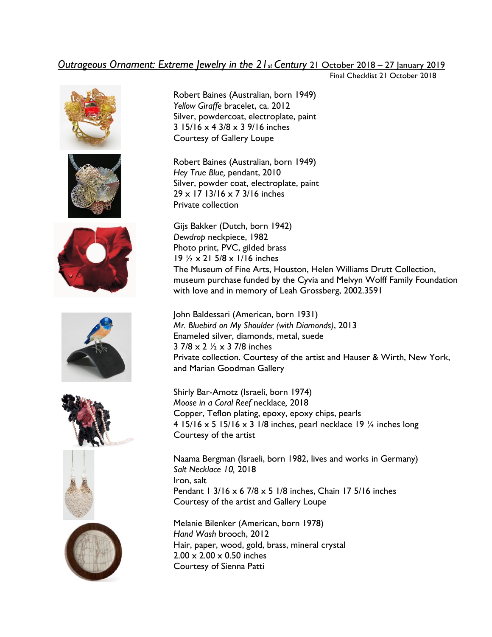## *Outrageous Ornament: Extreme Jewelry in the 21st Century* 21 October 2018 – 27 January 2019

Final Checklist 21 October 2018















Robert Baines (Australian, born 1949) *Yellow Giraffe* bracelet, ca. 2012 Silver, powdercoat, electroplate, paint 3 15/16 x 4 3/8 x 3 9/16 inches Courtesy of Gallery Loupe

Robert Baines (Australian, born 1949) *Hey True Blue,* pendant, 2010 Silver, powder coat, electroplate, paint 29 x 17 13/16 x 7 3/16 inches Private collection

Gijs Bakker (Dutch, born 1942) *Dewdrop* neckpiece, 1982 Photo print, PVC, gilded brass 19 ½ x 21 5/8 x 1/16 inches The Museum of Fine Arts, Houston, Helen Williams Drutt Collection, museum purchase funded by the Cyvia and Melvyn Wolff Family Foundation with love and in memory of Leah Grossberg, 2002.3591

John Baldessari (American, born 1931) *Mr. Bluebird on My Shoulder (with Diamonds)*, 2013 Enameled silver, diamonds, metal, suede 3 7/8 x 2 ½ x 3 7/8 inches Private collection. Courtesy of the artist and Hauser & Wirth, New York, and Marian Goodman Gallery

Shirly Bar-Amotz (Israeli, born 1974) *Moose in a Coral Reef* necklace*,* 2018 Copper, Teflon plating, epoxy, epoxy chips, pearls 4 15/16 x 5 15/16 x 3 1/8 inches, pearl necklace 19  $\frac{1}{4}$  inches long Courtesy of the artist

Naama Bergman (Israeli, born 1982, lives and works in Germany) *Salt Necklace 10,* 2018 Iron, salt Pendant 1 3/16  $\times$  6 7/8  $\times$  5 1/8 inches, Chain 17 5/16 inches Courtesy of the artist and Gallery Loupe

Melanie Bilenker (American, born 1978) *Hand Wash* brooch, 2012 Hair, paper, wood, gold, brass, mineral crystal  $2.00 \times 2.00 \times 0.50$  inches Courtesy of Sienna Patti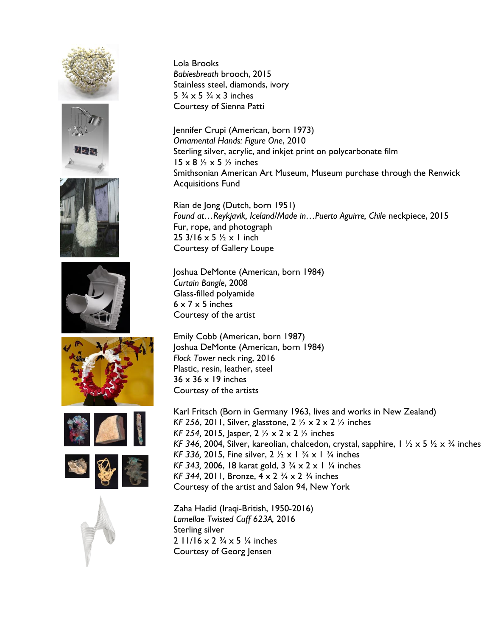















Lola Brooks *Babiesbreath* brooch, 2015 Stainless steel, diamonds, ivory 5  $\frac{3}{4} \times 5$   $\frac{3}{4} \times 3$  inches Courtesy of Sienna Patti

Jennifer Crupi (American, born 1973) *Ornamental Hands: Figure One*, 2010 Sterling silver, acrylic, and inkjet print on polycarbonate film  $15 \times 8$   $\frac{1}{2} \times 5$   $\frac{1}{2}$  inches Smithsonian American Art Museum, Museum purchase through the Renwick Acquisitions Fund

Rian de Jong (Dutch, born 1951) *Found at…Reykjavik, Iceland/Made in…Puerto Aguirre, Chile* neckpiece, 2015 Fur, rope, and photograph 25  $3/16 \times 5$   $\frac{1}{2} \times 1$  inch Courtesy of Gallery Loupe

Joshua DeMonte (American, born 1984) *Curtain Bangle*, 2008 Glass-filled polyamide  $6 \times 7 \times 5$  inches Courtesy of the artist

Emily Cobb (American, born 1987) Joshua DeMonte (American, born 1984) *Flock Tower* neck ring, 2016 Plastic, resin, leather, steel  $36 \times 36 \times 19$  inches Courtesy of the artists

Karl Fritsch (Born in Germany 1963, lives and works in New Zealand) *KF 256*, 2011, Silver, glasstone, 2 ½ x 2 x 2 ½ inches *KF 254,* 2015, Jasper, 2 ½ x 2 x 2 ½ inches *KF 346,* 2004, Silver, kareolian, chalcedon, crystal, sapphire, 1 ½ x 5 ½ x ¾ inches *KF 336,* 2015, Fine silver, 2 ½ x 1 ¾ x 1 ¾ inches *KF 343,* 2006, 18 karat gold, 3 ¾ x 2 x 1 ¼ inches *KF 344,* 2011, Bronze, 4 x 2 ¾ x 2 ¾ inches Courtesy of the artist and Salon 94, New York

Zaha Hadid (Iraqi-British, 1950-2016) *Lamellae Twisted Cuff 623A,* 2016 Sterling silver 2  $11/16 \times 2 \frac{3}{4} \times 5 \frac{1}{4}$  inches Courtesy of Georg Jensen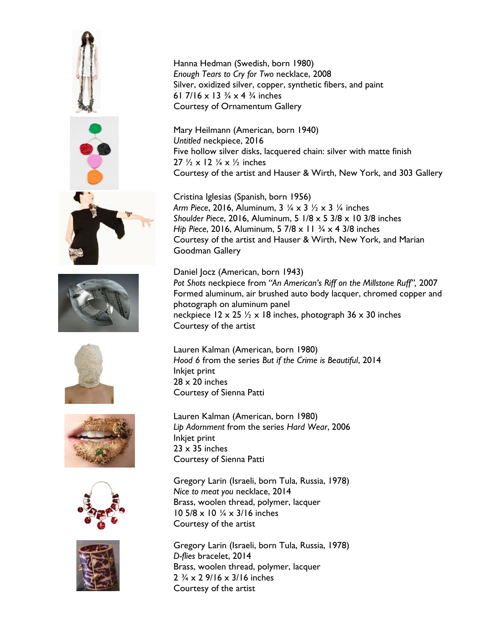











Hanna Hedman (Swedish, born 1980) *Enough Tears to Cry for Two* necklace, 2008 Silver, oxidized silver, copper, synthetic fibers, and paint 61 7/16 x 13  $\frac{3}{4}$  x 4  $\frac{3}{4}$  inches Courtesy of Ornamentum Gallery

Mary Heilmann (American, born 1940) *Untitled* neckpiece, 2016 Five hollow silver disks, lacquered chain: silver with matte finish 27  $\frac{1}{2} \times 12 \frac{1}{4} \times \frac{1}{2}$  inches Courtesy of the artist and Hauser & Wirth, New York, and 303 Gallery

Cristina Iglesias (Spanish, born 1956) *Arm Piece*, 2016, Aluminum, 3 ¼ x 3 ½ x 3 ¼ inches *Shoulder Piece*, 2016, Aluminum, 5 1/8 x 5 3/8 x 10 3/8 inches *Hip Piece*, 2016, Aluminum, 5 7/8 x 11 ¾ x 4 3/8 inches Courtesy of the artist and Hauser & Wirth, New York, and Marian Goodman Gallery

Daniel Jocz (American, born 1943) *Pot Shots* neckpiece from *"An American's Riff on the Millstone Ruff",* 2007 Formed aluminum, air brushed auto body lacquer, chromed copper and photograph on aluminum panel neckpiece  $12 \times 25$  % x 18 inches, photograph 36 x 30 inches Courtesy of the artist

Lauren Kalman (American, born 1980) *Hood 6* from the series *But if the Crime is Beautiful*, 2014 Inkjet print  $28 \times 20$  inches Courtesy of Sienna Patti

Lauren Kalman (American, born 1980) *Lip Adornment* from the series *Hard Wear*, 2006 Inkjet print  $23 \times 35$  inches Courtesy of Sienna Patti

Gregory Larin (Israeli, born Tula, Russia, 1978) *Nice to meat you* necklace, 2014 Brass, woolen thread, polymer, lacquer 10 5/8 x 10 ¼ x 3/16 inches Courtesy of the artist

Gregory Larin (Israeli, born Tula, Russia, 1978) *D-flies* bracelet, 2014 Brass, woolen thread, polymer, lacquer  $2\frac{3}{4} \times 2\frac{9}{16} \times \frac{3}{16}$  inches Courtesy of the artist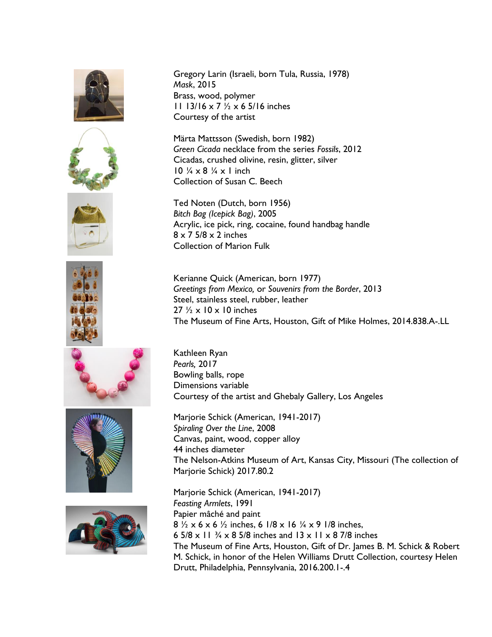













Gregory Larin (Israeli, born Tula, Russia, 1978) *Mask*, 2015 Brass, wood, polymer 11 13/16 x 7 ½ x 6 5/16 inches Courtesy of the artist

Märta Mattsson (Swedish, born 1982) *Green Cicada* necklace from the series *Fossils*, 2012 Cicadas, crushed olivine, resin, glitter, silver 10  $\frac{1}{4} \times 8$   $\frac{1}{4} \times 1$  inch Collection of Susan C. Beech

Ted Noten (Dutch, born 1956) *Bitch Bag (Icepick Bag)*, 2005 Acrylic, ice pick, ring, cocaine, found handbag handle  $8 \times 7$  5/8  $\times$  2 inches Collection of Marion Fulk

Kerianne Quick (American, born 1977) *Greetings from Mexico,* or *Souvenirs from the Border*, 2013 Steel, stainless steel, rubber, leather  $27 \frac{1}{2} \times 10 \times 10$  inches The Museum of Fine Arts, Houston, Gift of Mike Holmes, 2014.838.A-.LL

Kathleen Ryan *Pearls,* 2017 Bowling balls, rope Dimensions variable Courtesy of the artist and Ghebaly Gallery, Los Angeles

Marjorie Schick (American, 1941-2017) *Spiraling Over the Line*, 2008 Canvas, paint, wood, copper alloy 44 inches diameter The Nelson-Atkins Museum of Art, Kansas City, Missouri (The collection of Marjorie Schick) 2017.80.2

Marjorie Schick (American, 1941-2017) *Feasting Armlets*, 1991 Papier mâché and paint  $8\frac{1}{2} \times 6 \times 6\frac{1}{2}$  inches, 6  $1/8 \times 16\frac{1}{4} \times 9$  1/8 inches. 6  $5/8 \times 11^{3/4} \times 8$  5/8 inches and 13 x 11 x 8 7/8 inches The Museum of Fine Arts, Houston, Gift of Dr. James B. M. Schick & Robert M. Schick, in honor of the Helen Williams Drutt Collection, courtesy Helen Drutt, Philadelphia, Pennsylvania, 2016.200.1-.4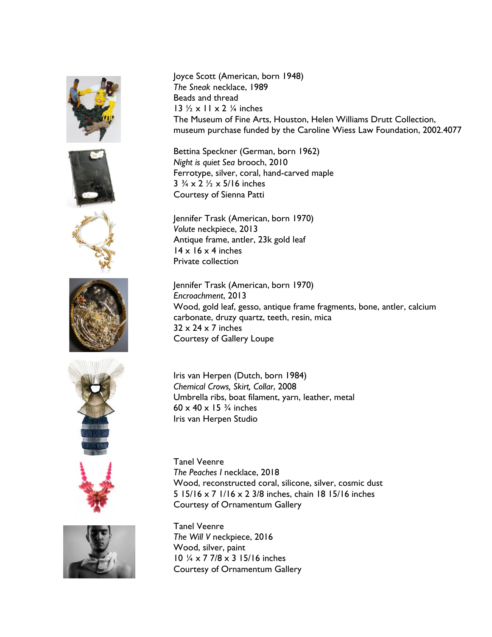













Joyce Scott (American, born 1948) *The Sneak* necklace, 1989 Beads and thread 13  $\frac{1}{2}$  x 11 x 2  $\frac{1}{4}$  inches The Museum of Fine Arts, Houston, Helen Williams Drutt Collection, museum purchase funded by the Caroline Wiess Law Foundation, 2002.4077

Bettina Speckner (German, born 1962) *Night is quiet Sea* brooch, 2010 Ferrotype, silver, coral, hand-carved maple  $3\frac{3}{4} \times 2\frac{1}{2} \times 5/16$  inches Courtesy of Sienna Patti

Jennifer Trask (American, born 1970) *Volute* neckpiece, 2013 Antique frame, antler, 23k gold leaf  $14 \times 16 \times 4$  inches Private collection

Jennifer Trask (American, born 1970) *Encroachment*, 2013 Wood, gold leaf, gesso, antique frame fragments, bone, antler, calcium carbonate, druzy quartz, teeth, resin, mica  $32 \times 24 \times 7$  inches Courtesy of Gallery Loupe

Iris van Herpen (Dutch, born 1984) *Chemical Crows, Skirt, Collar*, 2008 Umbrella ribs, boat filament, yarn, leather, metal 60  $\times$  40  $\times$  15  $\frac{3}{4}$  inches Iris van Herpen Studio

Tanel Veenre *The Peaches I* necklace, 2018 Wood, reconstructed coral, silicone, silver, cosmic dust 5 15/16 x 7 1/16 x 2 3/8 inches, chain 18 15/16 inches Courtesy of Ornamentum Gallery

Tanel Veenre *The Will V* neckpiece, 2016 Wood, silver, paint 10 ¼ x 7 7/8 x 3 15/16 inches Courtesy of Ornamentum Gallery